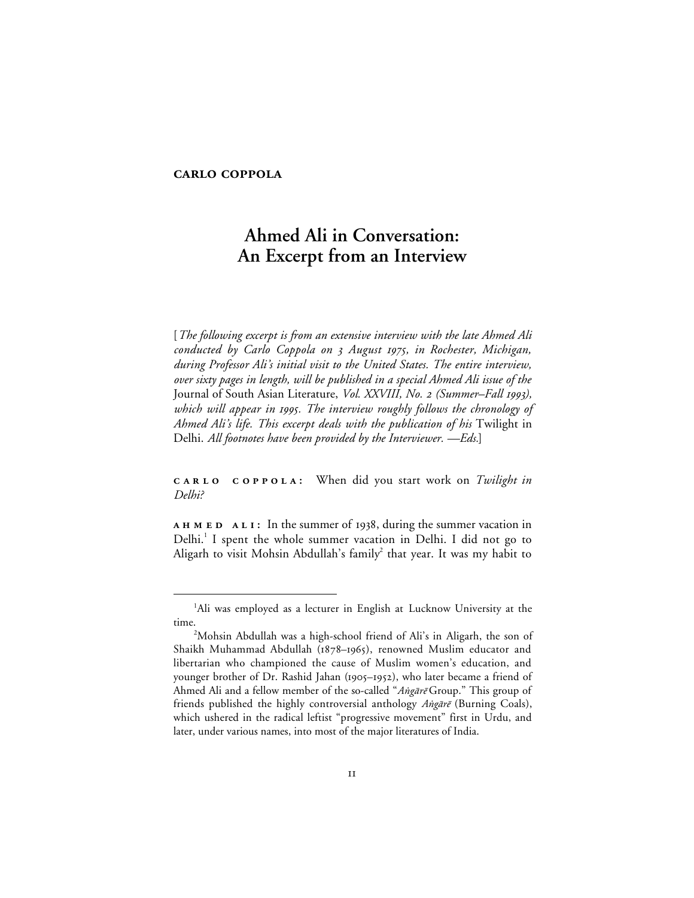# **CARLO COPPOLA**

# **Ahmed Ali in Conversation: An Excerpt from an Interview**

[*The following excerpt is from an extensive interview with the late Ahmed Ali conducted by Carlo Coppola on August , in Rochester, Michigan, during Professor Ali's initial visit to the United States. The entire interview, over sixty pages in length, will be published in a special Ahmed Ali issue of the* Journal of South Asian Literature, *Vol. XXVIII, No. 2 (Summer-Fall 1993)*, *which will appear in . The interview roughly follows the chronology of Ahmed Ali's life. This excerpt deals with the publication of his* Twilight in Delhi. *All footnotes have been provided by the Interviewer. —Eds.*]

*CARLO COPPOLA:* When did you start work on *Twilight in Delhi?*

**AHMED ALI:** In the summer of 1938, during the summer vacation in Delhi.<sup>1</sup> I spent the whole summer vacation in Delhi. I did not go to Aligarh to visit Mohsin Abdullah's family<sup>2</sup> that year. It was my habit to

 $\overline{\phantom{a}}$ Ali was employed as a lecturer in English at Lucknow University at the time.

<sup>&</sup>lt;sup>2</sup>Mohsin Abdullah was a high-school friend of Ali's in Aligarh, the son of Shaikh Muhammad Abdullah (1878-1965), renowned Muslim educator and libertarian who championed the cause of Muslim women's education, and younger brother of Dr. Rashid Jahan (1905–1952), who later became a friend of Ahmed Ali and a fellow member of the so-called "Angārē Group." This group of friends published the highly controversial anthology Angare (Burning Coals), which ushered in the radical leftist "progressive movement" first in Urdu, and later, under various names, into most of the major literatures of India.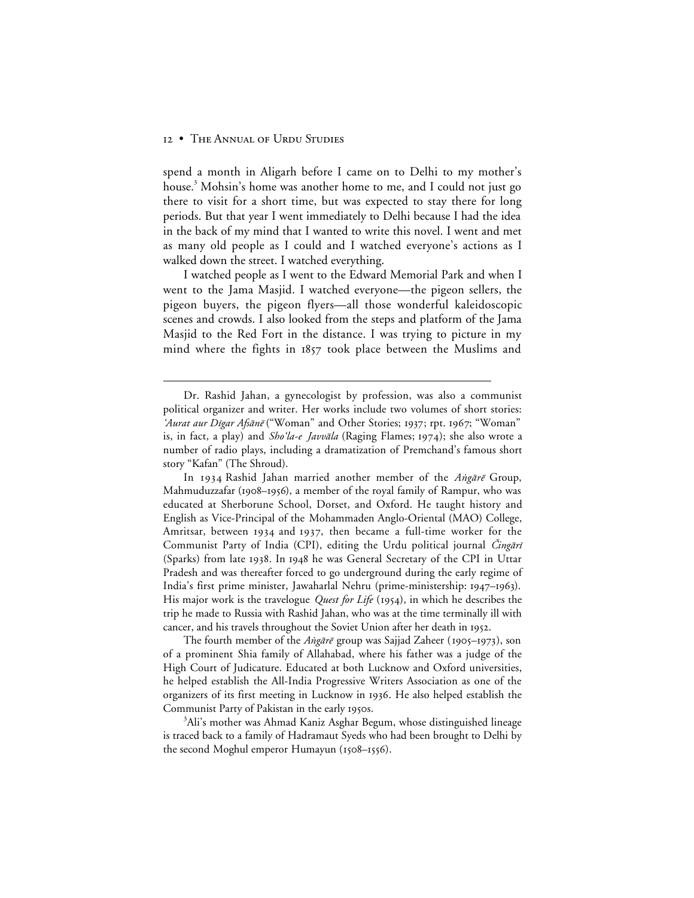$\overline{a}$ 

spend a month in Aligarh before I came on to Delhi to my mother's house.<sup>3</sup> Mohsin's home was another home to me, and I could not just go there to visit for a short time, but was expected to stay there for long periods. But that year I went immediately to Delhi because I had the idea in the back of my mind that I wanted to write this novel. I went and met as many old people as I could and I watched everyone's actions as I walked down the street. I watched everything.

I watched people as I went to the Edward Memorial Park and when I went to the Jama Masjid. I watched everyone—the pigeon sellers, the pigeon buyers, the pigeon flyers—all those wonderful kaleidoscopic scenes and crowds. I also looked from the steps and platform of the Jama Masjid to the Red Fort in the distance. I was trying to picture in my mind where the fights in 1857 took place between the Muslims and

The fourth member of the Angārē group was Sajjad Zaheer (1905–1973), son of a prominent Shia family of Allahabad, where his father was a judge of the High Court of Judicature. Educated at both Lucknow and Oxford universities, he helped establish the All-India Progressive Writers Association as one of the organizers of its first meeting in Lucknow in 1936. He also helped establish the Communist Party of Pakistan in the early 1950s.

<sup>3</sup>Ali's mother was Ahmad Kaniz Asghar Begum, whose distinguished lineage is traced back to a family of Hadramaut Syeds who had been brought to Delhi by the second Moghul emperor Humayun  $(1508 - 1556)$ .

Dr. Rashid Jahan, a gynecologist by profession, was also a communist political organizer and writer. Her works include two volumes of short stories: 'Aurat aur Dīgar Afsānē ("Woman" and Other Stories; 1937; rpt. 1967; "Woman" is, in fact, a play) and *Sho'la-e Javvāla* (Raging Flames; 1974); she also wrote a number of radio plays, including a dramatization of Premchand's famous short story "Kafan" (The Shroud).

In 1934 Rashid Jahan married another member of the Angare Group, Mahmuduzzafar (1908–1956), a member of the royal family of Rampur, who was educated at Sherborune School, Dorset, and Oxford. He taught history and English as Vice-Principal of the Mohammaden Anglo-Oriental (MAO) College, Amritsar, between 1934 and 1937, then became a full-time worker for the Communist Party of India (CPI), editing the Urdu political journal *Čingāri* (Sparks) from late 1938. In 1948 he was General Secretary of the CPI in Uttar Pradesh and was thereafter forced to go underground during the early regime of India's first prime minister, Jawaharlal Nehru (prime-ministership: 1947–1963). His major work is the travelogue *Quest for Life* (1954), in which he describes the trip he made to Russia with Rashid Jahan, who was at the time terminally ill with cancer, and his travels throughout the Soviet Union after her death in 1952.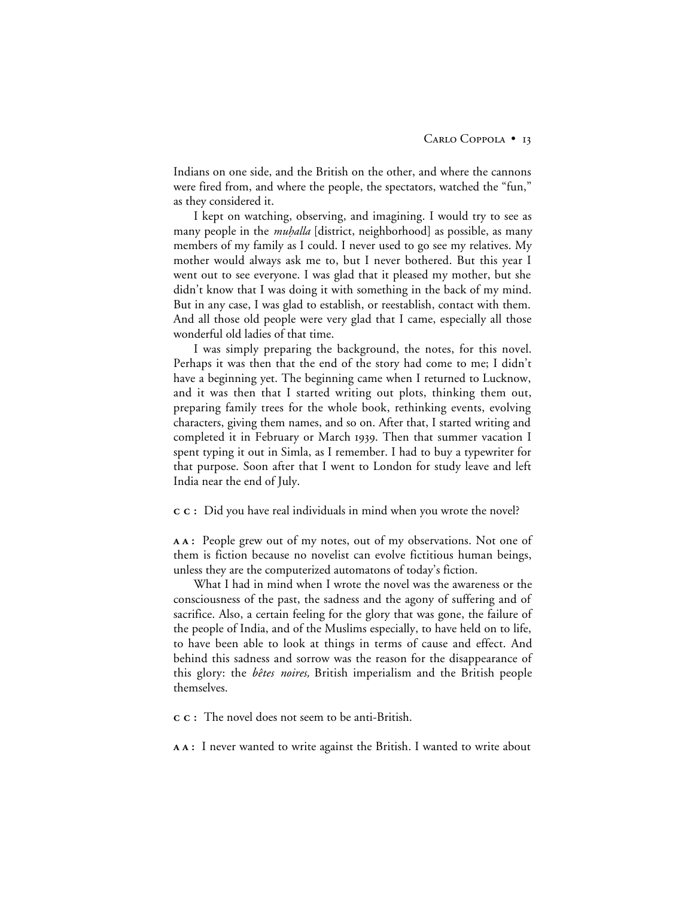Indians on one side, and the British on the other, and where the cannons were fired from, and where the people, the spectators, watched the "fun," as they considered it.

I kept on watching, observing, and imagining. I would try to see as many people in the *muhalla* [district, neighborhood] as possible, as many members of my family as I could. I never used to go see my relatives. My mother would always ask me to, but I never bothered. But this year I went out to see everyone. I was glad that it pleased my mother, but she didn't know that I was doing it with something in the back of my mind. But in any case, I was glad to establish, or reestablish, contact with them. And all those old people were very glad that I came, especially all those wonderful old ladies of that time.

I was simply preparing the background, the notes, for this novel. Perhaps it was then that the end of the story had come to me; I didn't have a beginning yet. The beginning came when I returned to Lucknow, and it was then that I started writing out plots, thinking them out, preparing family trees for the whole book, rethinking events, evolving characters, giving them names, and so on. After that, I started writing and completed it in February or March 1939. Then that summer vacation I spent typing it out in Simla, as I remember. I had to buy a typewriter for that purpose. Soon after that I went to London for study leave and left India near the end of July.

**:** Did you have real individuals in mind when you wrote the novel?

**:** People grew out of my notes, out of my observations. Not one of them is fiction because no novelist can evolve fictitious human beings, unless they are the computerized automatons of today's fiction.

What I had in mind when I wrote the novel was the awareness or the consciousness of the past, the sadness and the agony of suffering and of sacrifice. Also, a certain feeling for the glory that was gone, the failure of the people of India, and of the Muslims especially, to have held on to life, to have been able to look at things in terms of cause and effect. And behind this sadness and sorrow was the reason for the disappearance of this glory: the *bêtes noires,* British imperialism and the British people themselves.

**:** The novel does not seem to be anti-British.

**:** I never wanted to write against the British. I wanted to write about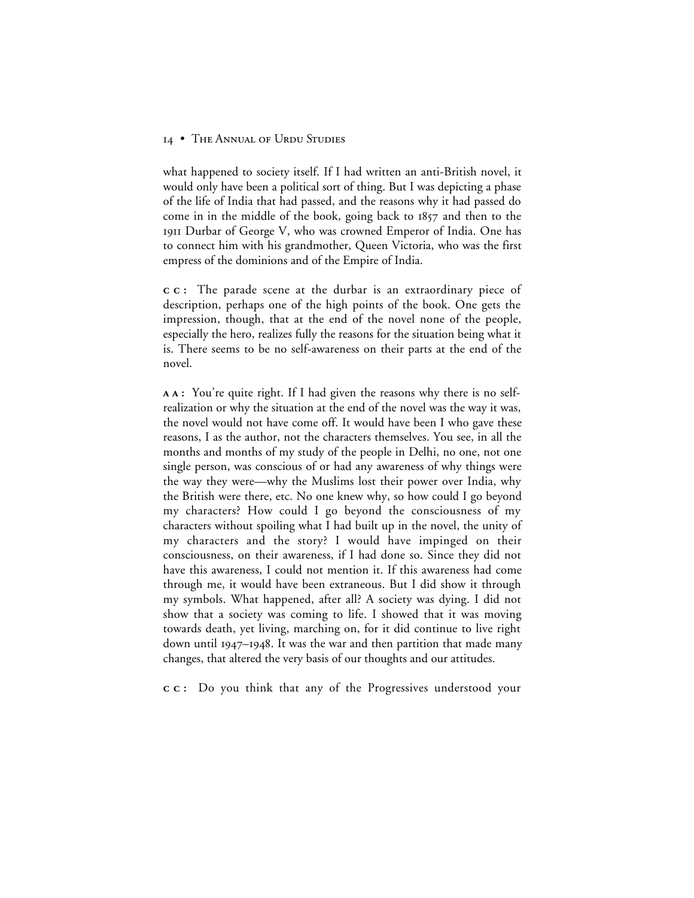what happened to society itself. If I had written an anti-British novel, it would only have been a political sort of thing. But I was depicting a phase of the life of India that had passed, and the reasons why it had passed do come in in the middle of the book, going back to  $1857$  and then to the Durbar of George V, who was crowned Emperor of India. One has to connect him with his grandmother, Queen Victoria, who was the first empress of the dominions and of the Empire of India.

**:** The parade scene at the durbar is an extraordinary piece of description, perhaps one of the high points of the book. One gets the impression, though, that at the end of the novel none of the people, especially the hero, realizes fully the reasons for the situation being what it is. There seems to be no self-awareness on their parts at the end of the novel.

**:** You're quite right. If I had given the reasons why there is no selfrealization or why the situation at the end of the novel was the way it was, the novel would not have come off. It would have been I who gave these reasons, I as the author, not the characters themselves. You see, in all the months and months of my study of the people in Delhi, no one, not one single person, was conscious of or had any awareness of why things were the way they were—why the Muslims lost their power over India, why the British were there, etc. No one knew why, so how could I go beyond my characters? How could I go beyond the consciousness of my characters without spoiling what I had built up in the novel, the unity of my characters and the story? I would have impinged on their consciousness, on their awareness, if I had done so. Since they did not have this awareness, I could not mention it. If this awareness had come through me, it would have been extraneous. But I did show it through my symbols. What happened, after all? A society was dying. I did not show that a society was coming to life. I showed that it was moving towards death, yet living, marching on, for it did continue to live right down until  $1947 - 1948$ . It was the war and then partition that made many changes, that altered the very basis of our thoughts and our attitudes.

**:** Do you think that any of the Progressives understood your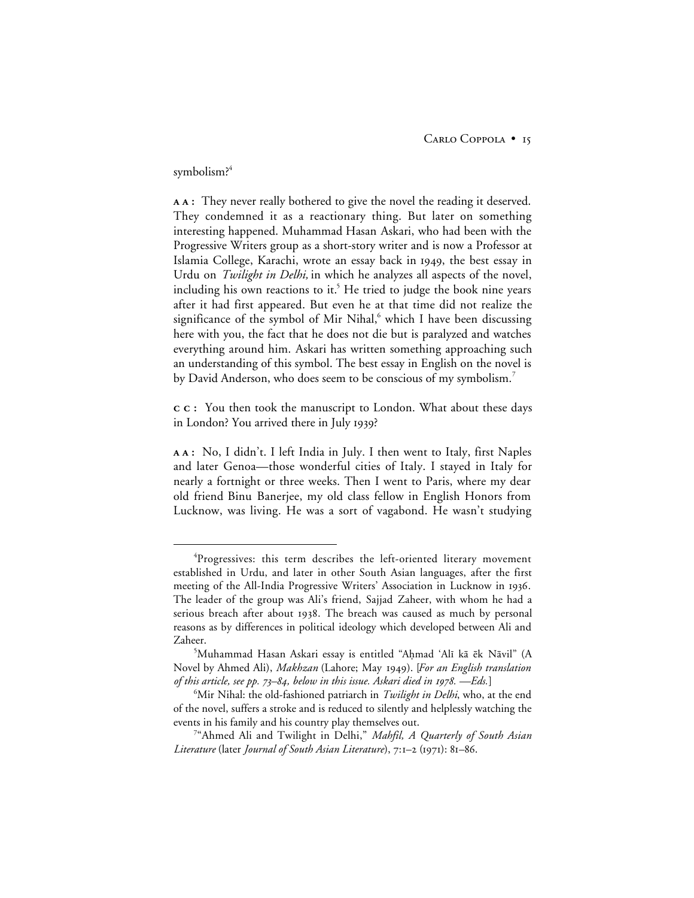#### symbolism?<sup>4</sup>

**:** They never really bothered to give the novel the reading it deserved. They condemned it as a reactionary thing. But later on something interesting happened. Muhammad Hasan Askari, who had been with the Progressive Writers group as a short-story writer and is now a Professor at Islamia College, Karachi, wrote an essay back in 1949, the best essay in Urdu on *Twilight in Delhi,* in which he analyzes all aspects of the novel, including his own reactions to it.<sup>5</sup> He tried to judge the book nine years after it had first appeared. But even he at that time did not realize the significance of the symbol of Mir Nihal, $6$  which I have been discussing here with you, the fact that he does not die but is paralyzed and watches everything around him. Askari has written something approaching such an understanding of this symbol. The best essay in English on the novel is by David Anderson, who does seem to be conscious of my symbolism.<sup>7</sup>

**:** You then took the manuscript to London. What about these days in London? You arrived there in July 1939?

**:** No, I didn't. I left India in July. I then went to Italy, first Naples and later Genoa—those wonderful cities of Italy. I stayed in Italy for nearly a fortnight or three weeks. Then I went to Paris, where my dear old friend Binu Banerjee, my old class fellow in English Honors from Lucknow, was living. He was a sort of vagabond. He wasn't studying

 $\overline{4}$ <sup>4</sup>Progressives: this term describes the left-oriented literary movement established in Urdu, and later in other South Asian languages, after the first meeting of the All-India Progressive Writers' Association in Lucknow in 1936. The leader of the group was Ali's friend, Sajjad Zaheer, with whom he had a serious breach after about 1938. The breach was caused as much by personal reasons as by differences in political ideology which developed between Ali and Zaheer.

<sup>&</sup>lt;sup>5</sup>Muhammad Hasan Askari essay is entitled "Aḥmad 'Alī kā ēk Nāvil" (A Novel by Ahmed Ali), *Makhzan* (Lahore; May 1949). [For an English translation *of this article, see pp. 73–84, below in this issue. Askari died in 1978. - Eds.*]

<sup>6</sup> Mir Nihal: the old-fashioned patriarch in *Twilight in Delhi*, who, at the end of the novel, suffers a stroke and is reduced to silently and helplessly watching the events in his family and his country play themselves out.

<sup>7</sup> "Ahmed Ali and Twilight in Delhi," *Mahfil, A Quarterly of South Asian Literature* (later *Journal of South Asian Literature*), 7:1-2 (1971): 81-86.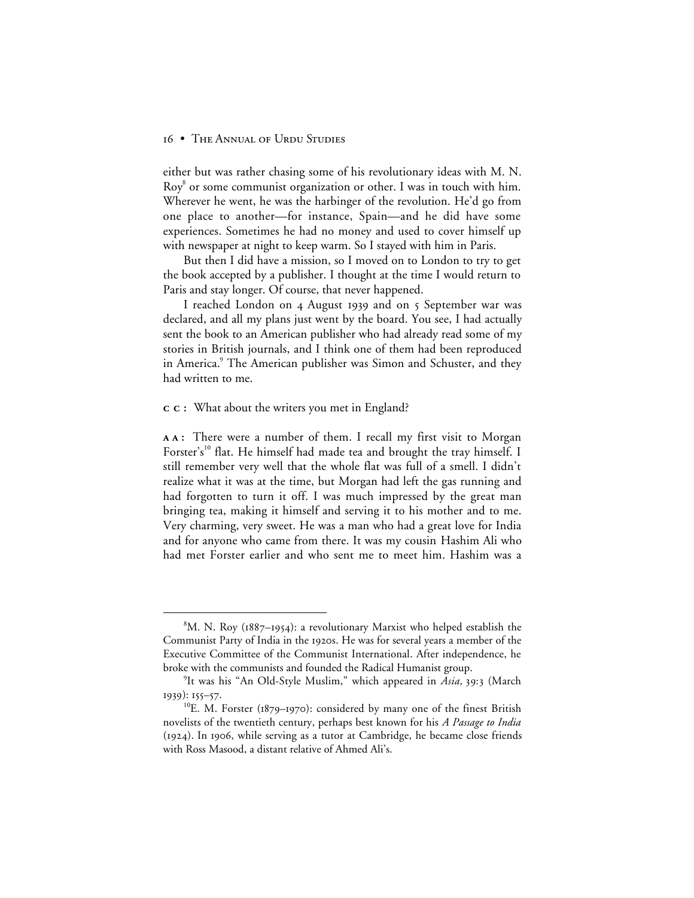either but was rather chasing some of his revolutionary ideas with M. N.  $\text{Rov}^8$  or some communist organization or other. I was in touch with him. Wherever he went, he was the harbinger of the revolution. He'd go from one place to another—for instance, Spain—and he did have some experiences. Sometimes he had no money and used to cover himself up with newspaper at night to keep warm. So I stayed with him in Paris.

But then I did have a mission, so I moved on to London to try to get the book accepted by a publisher. I thought at the time I would return to Paris and stay longer. Of course, that never happened.

I reached London on 4 August 1939 and on 5 September war was declared, and all my plans just went by the board. You see, I had actually sent the book to an American publisher who had already read some of my stories in British journals, and I think one of them had been reproduced in America.<sup>9</sup> The American publisher was Simon and Schuster, and they had written to me.

#### **:** What about the writers you met in England?

**:** There were a number of them. I recall my first visit to Morgan Forster's<sup>10</sup> flat. He himself had made tea and brought the tray himself. I still remember very well that the whole flat was full of a smell. I didn't realize what it was at the time, but Morgan had left the gas running and had forgotten to turn it off. I was much impressed by the great man bringing tea, making it himself and serving it to his mother and to me. Very charming, very sweet. He was a man who had a great love for India and for anyone who came from there. It was my cousin Hashim Ali who had met Forster earlier and who sent me to meet him. Hashim was a

 <sup>8</sup>  ${}^{8}$ M. N. Roy (1887–1954): a revolutionary Marxist who helped establish the Communist Party of India in the 1920s. He was for several years a member of the Executive Committee of the Communist International. After independence, he broke with the communists and founded the Radical Humanist group.

<sup>&</sup>lt;sup>9</sup>It was his "An Old-Style Muslim," which appeared in *Asia*, 39:3 (March  $1939$ ):  $155 - 57$ .

<sup>&</sup>lt;sup>10</sup>E. M. Forster ( $1879-1970$ ): considered by many one of the finest British novelists of the twentieth century, perhaps best known for his *A Passage to India*  $(1924)$ . In 1906, while serving as a tutor at Cambridge, he became close friends with Ross Masood, a distant relative of Ahmed Ali's.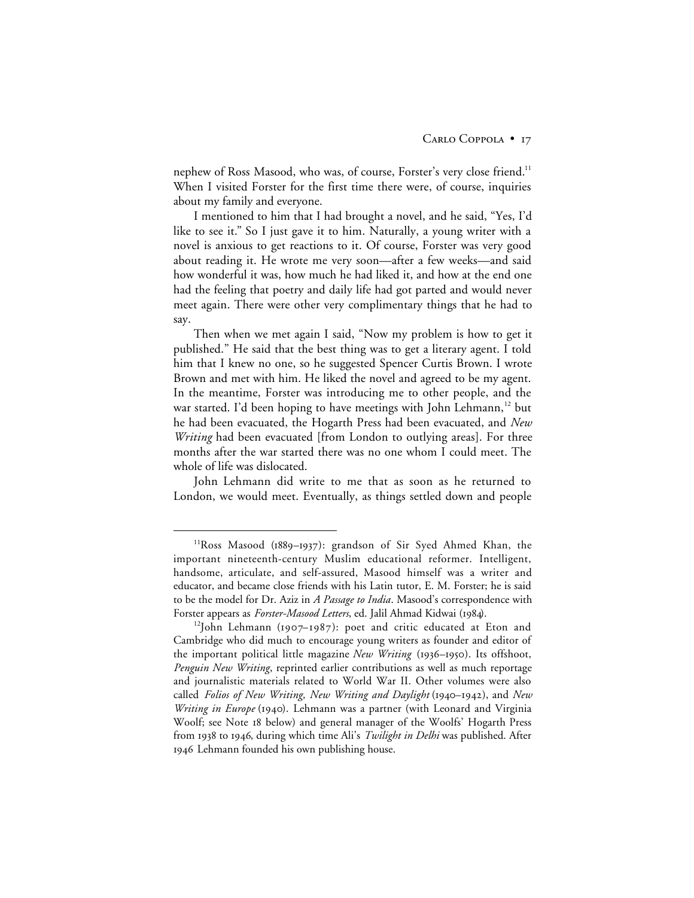nephew of Ross Masood, who was, of course, Forster's very close friend.<sup>11</sup> When I visited Forster for the first time there were, of course, inquiries about my family and everyone.

I mentioned to him that I had brought a novel, and he said, "Yes, I'd like to see it." So I just gave it to him. Naturally, a young writer with a novel is anxious to get reactions to it. Of course, Forster was very good about reading it. He wrote me very soon—after a few weeks—and said how wonderful it was, how much he had liked it, and how at the end one had the feeling that poetry and daily life had got parted and would never meet again. There were other very complimentary things that he had to say.

Then when we met again I said, "Now my problem is how to get it published." He said that the best thing was to get a literary agent. I told him that I knew no one, so he suggested Spencer Curtis Brown. I wrote Brown and met with him. He liked the novel and agreed to be my agent. In the meantime, Forster was introducing me to other people, and the war started. I'd been hoping to have meetings with John Lehmann,<sup>12</sup> but he had been evacuated, the Hogarth Press had been evacuated, and *New Writing* had been evacuated [from London to outlying areas]. For three months after the war started there was no one whom I could meet. The whole of life was dislocated.

John Lehmann did write to me that as soon as he returned to London, we would meet. Eventually, as things settled down and people

 $11$ Ross Masood (1889–1937): grandson of Sir Syed Ahmed Khan, the important nineteenth-century Muslim educational reformer. Intelligent, handsome, articulate, and self-assured, Masood himself was a writer and educator, and became close friends with his Latin tutor, E. M. Forster; he is said to be the model for Dr. Aziz in *A Passage to India*. Masood's correspondence with Forster appears as *Forster-Masood Letters*, ed. Jalil Ahmad Kidwai (1984).

<sup>&</sup>lt;sup>12</sup>John Lehmann (1907–1987): poet and critic educated at Eton and Cambridge who did much to encourage young writers as founder and editor of the important political little magazine *New Writing* (1936-1950). Its offshoot, *Penguin New Writing*, reprinted earlier contributions as well as much reportage and journalistic materials related to World War II. Other volumes were also called *Folios of New Writing, New Writing and Daylight* (1940–1942), and *New Writing in Europe* (1940). Lehmann was a partner (with Leonard and Virginia Woolf; see Note 18 below) and general manager of the Woolfs' Hogarth Press from 1938 to 1946, during which time Ali's *Twilight in Delhi* was published. After 1946 Lehmann founded his own publishing house.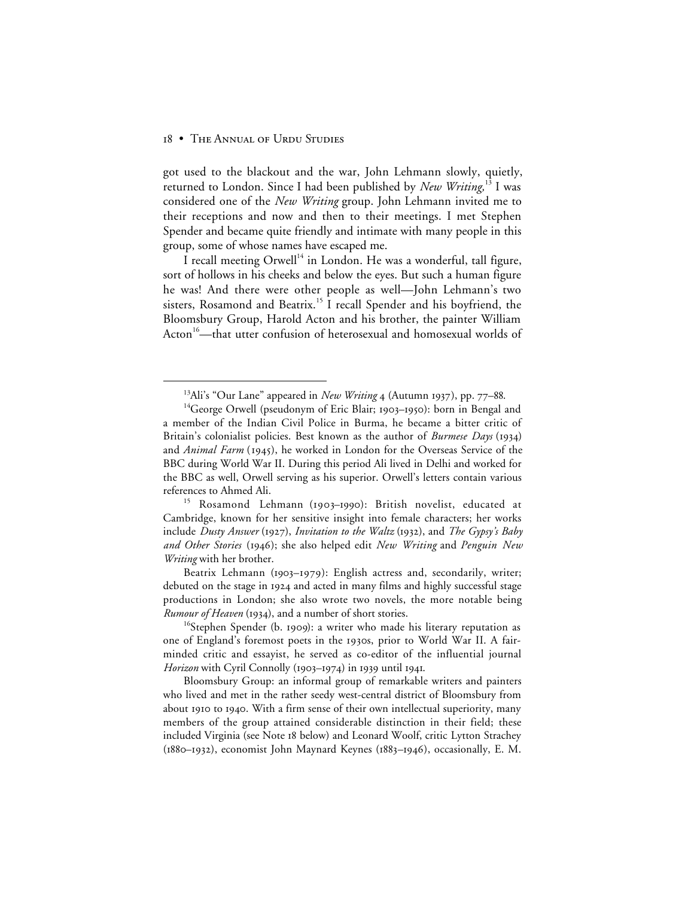got used to the blackout and the war, John Lehmann slowly, quietly, returned to London. Since I had been published by *New Writing*,<sup>13</sup> I was considered one of the *New Writing* group. John Lehmann invited me to their receptions and now and then to their meetings. I met Stephen Spender and became quite friendly and intimate with many people in this group, some of whose names have escaped me.

I recall meeting Orwell<sup>14</sup> in London. He was a wonderful, tall figure, sort of hollows in his cheeks and below the eyes. But such a human figure he was! And there were other people as well—John Lehmann's two sisters, Rosamond and Beatrix.<sup>15</sup> I recall Spender and his boyfriend, the Bloomsbury Group, Harold Acton and his brother, the painter William Acton<sup>16</sup>—that utter confusion of heterosexual and homosexual worlds of

Beatrix Lehmann (1903-1979): English actress and, secondarily, writer; debuted on the stage in 1924 and acted in many films and highly successful stage productions in London; she also wrote two novels, the more notable being *Rumour of Heaven* (1934), and a number of short stories.

 $16$ Stephen Spender (b. 1909): a writer who made his literary reputation as one of England's foremost poets in the 1930s, prior to World War II. A fairminded critic and essayist, he served as co-editor of the influential journal *Horizon* with Cyril Connolly (1903–1974) in 1939 until 1941.

Bloomsbury Group: an informal group of remarkable writers and painters who lived and met in the rather seedy west-central district of Bloomsbury from about 1910 to 1940. With a firm sense of their own intellectual superiority, many members of the group attained considerable distinction in their field; these included Virginia (see Note 18 below) and Leonard Woolf, critic Lytton Strachey (1880–1932), economist John Maynard Keynes (1883–1946), occasionally, E. M.

<sup>&</sup>lt;sup>13</sup>Ali's "Our Lane" appeared in *New Writing*  $\frac{4}{4}$  (Autumn 1937), pp. 77–88.

 $14$ George Orwell (pseudonym of Eric Blair; 1903–1950): born in Bengal and a member of the Indian Civil Police in Burma, he became a bitter critic of Britain's colonialist policies. Best known as the author of *Burmese Days* (1934) and *Animal Farm* (1945), he worked in London for the Overseas Service of the BBC during World War II. During this period Ali lived in Delhi and worked for the BBC as well, Orwell serving as his superior. Orwell's letters contain various references to Ahmed Ali.

<sup>&</sup>lt;sup>15</sup> Rosamond Lehmann (1903-1990): British novelist, educated at Cambridge, known for her sensitive insight into female characters; her works include *Dusty Answer* (1927), *Invitation to the Waltz* (1932), and *The Gypsy's Baby and Other Stories* (); she also helped edit *New Writing* and *Penguin New Writing* with her brother.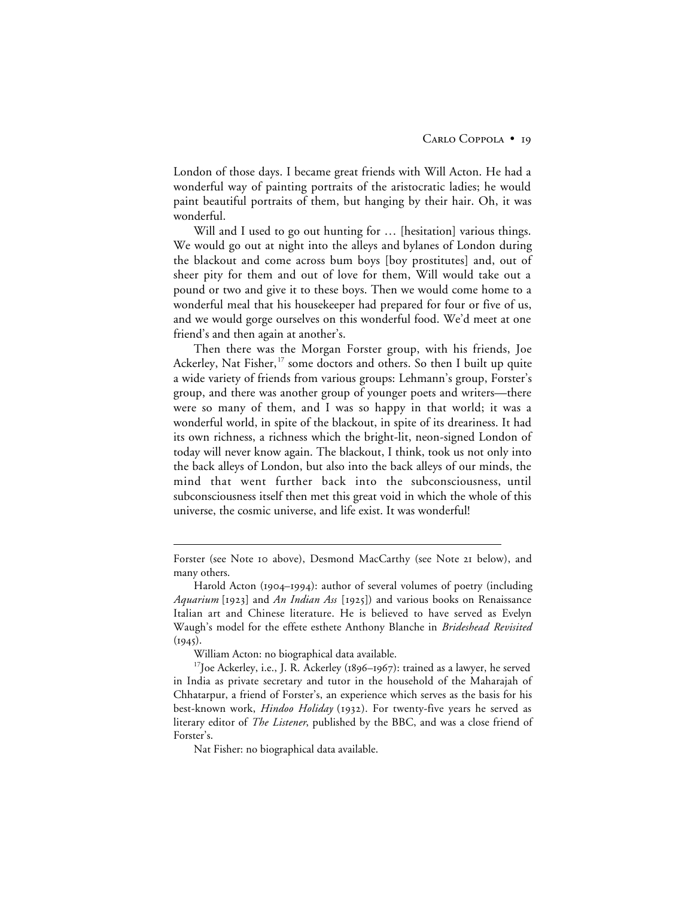London of those days. I became great friends with Will Acton. He had a wonderful way of painting portraits of the aristocratic ladies; he would paint beautiful portraits of them, but hanging by their hair. Oh, it was wonderful.

Will and I used to go out hunting for ... [hesitation] various things. We would go out at night into the alleys and bylanes of London during the blackout and come across bum boys [boy prostitutes] and, out of sheer pity for them and out of love for them, Will would take out a pound or two and give it to these boys. Then we would come home to a wonderful meal that his housekeeper had prepared for four or five of us, and we would gorge ourselves on this wonderful food. We'd meet at one friend's and then again at another's.

Then there was the Morgan Forster group, with his friends, Joe Ackerley, Nat Fisher,<sup>17</sup> some doctors and others. So then I built up quite a wide variety of friends from various groups: Lehmann's group, Forster's group, and there was another group of younger poets and writers—there were so many of them, and I was so happy in that world; it was a wonderful world, in spite of the blackout, in spite of its dreariness. It had its own richness, a richness which the bright-lit, neon-signed London of today will never know again. The blackout, I think, took us not only into the back alleys of London, but also into the back alleys of our minds, the mind that went further back into the subconsciousness, until subconsciousness itself then met this great void in which the whole of this universe, the cosmic universe, and life exist. It was wonderful!

William Acton: no biographical data available.

 $\overline{a}$ 

Nat Fisher: no biographical data available.

Forster (see Note 10 above), Desmond MacCarthy (see Note 21 below), and many others.

Harold Acton (1904–1994): author of several volumes of poetry (including *Aquarium* [1923] and *An Indian Ass* [1925]) and various books on Renaissance Italian art and Chinese literature. He is believed to have served as Evelyn Waugh's model for the effete esthete Anthony Blanche in *Brideshead Revisited*  $(1945).$ 

 $17$ Joe Ackerley, i.e., J. R. Ackerley (1896–1967): trained as a lawyer, he served in India as private secretary and tutor in the household of the Maharajah of Chhatarpur, a friend of Forster's, an experience which serves as the basis for his best-known work, *Hindoo Holiday* (1932). For twenty-five years he served as literary editor of *The Listener*, published by the BBC, and was a close friend of Forster's.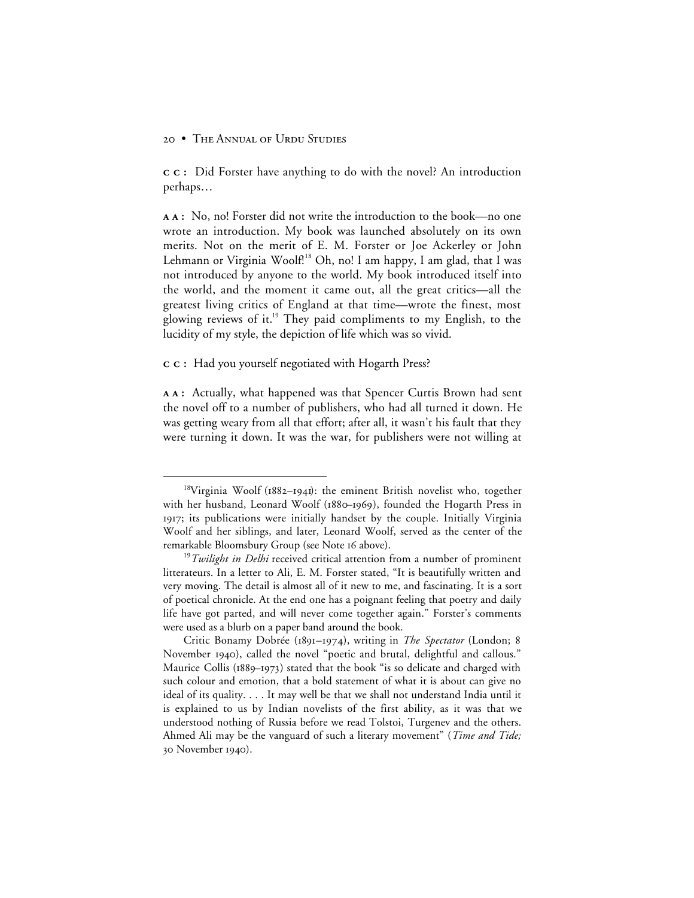**:** Did Forster have anything to do with the novel? An introduction perhaps…

**:** No, no! Forster did not write the introduction to the book—no one wrote an introduction. My book was launched absolutely on its own merits. Not on the merit of E. M. Forster or Joe Ackerley or John Lehmann or Virginia Woolf.<sup>18</sup> Oh, no! I am happy, I am glad, that I was not introduced by anyone to the world. My book introduced itself into the world, and the moment it came out, all the great critics—all the greatest living critics of England at that time—wrote the finest, most glowing reviews of it.<sup>19</sup> They paid compliments to my English, to the lucidity of my style, the depiction of life which was so vivid.

#### **:** Had you yourself negotiated with Hogarth Press?

**:** Actually, what happened was that Spencer Curtis Brown had sent the novel off to a number of publishers, who had all turned it down. He was getting weary from all that effort; after all, it wasn't his fault that they were turning it down. It was the war, for publishers were not willing at

 $18$ Virginia Woolf (1882-1941): the eminent British novelist who, together with her husband, Leonard Woolf (1880-1969), founded the Hogarth Press in 1917; its publications were initially handset by the couple. Initially Virginia Woolf and her siblings, and later, Leonard Woolf, served as the center of the remarkable Bloomsbury Group (see Note 16 above).

<sup>&</sup>lt;sup>19</sup>*Twilight in Delhi* received critical attention from a number of prominent litterateurs. In a letter to Ali, E. M. Forster stated, "It is beautifully written and very moving. The detail is almost all of it new to me, and fascinating. It is a sort of poetical chronicle. At the end one has a poignant feeling that poetry and daily life have got parted, and will never come together again." Forster's comments were used as a blurb on a paper band around the book.

Critic Bonamy Dobrée (1891-1974), writing in *The Spectator* (London; 8 November 1940), called the novel "poetic and brutal, delightful and callous." Maurice Collis (1889-1973) stated that the book "is so delicate and charged with such colour and emotion, that a bold statement of what it is about can give no ideal of its quality. . . . It may well be that we shall not understand India until it is explained to us by Indian novelists of the first ability, as it was that we understood nothing of Russia before we read Tolstoi, Turgenev and the others. Ahmed Ali may be the vanguard of such a literary movement" (*Time and Tide;* 30 November 1940).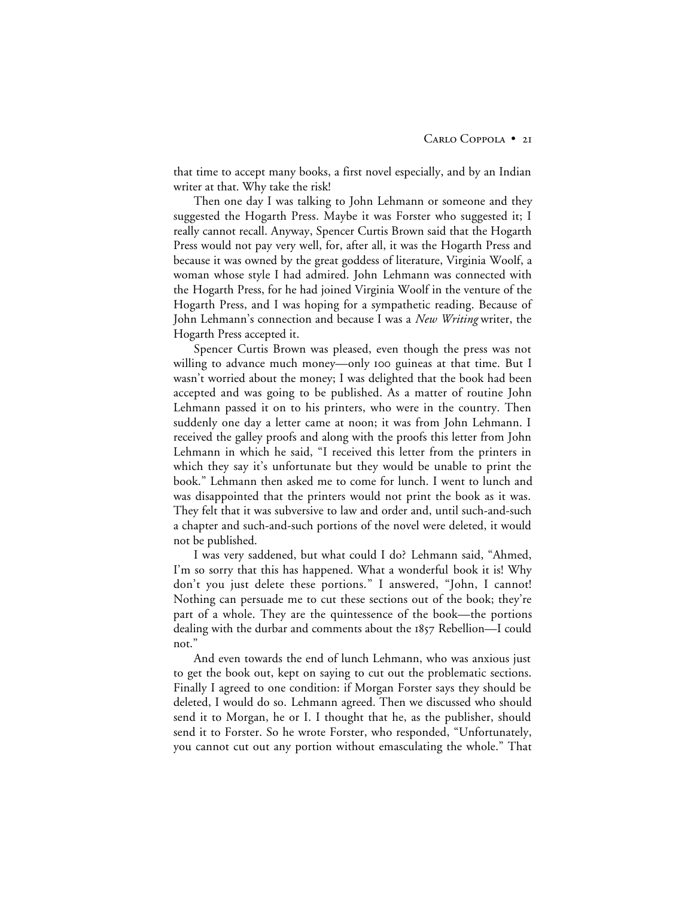that time to accept many books, a first novel especially, and by an Indian writer at that. Why take the risk!

Then one day I was talking to John Lehmann or someone and they suggested the Hogarth Press. Maybe it was Forster who suggested it; I really cannot recall. Anyway, Spencer Curtis Brown said that the Hogarth Press would not pay very well, for, after all, it was the Hogarth Press and because it was owned by the great goddess of literature, Virginia Woolf, a woman whose style I had admired. John Lehmann was connected with the Hogarth Press, for he had joined Virginia Woolf in the venture of the Hogarth Press, and I was hoping for a sympathetic reading. Because of John Lehmann's connection and because I was a *New Writing* writer, the Hogarth Press accepted it.

Spencer Curtis Brown was pleased, even though the press was not willing to advance much money—only oo guineas at that time. But I wasn't worried about the money; I was delighted that the book had been accepted and was going to be published. As a matter of routine John Lehmann passed it on to his printers, who were in the country. Then suddenly one day a letter came at noon; it was from John Lehmann. I received the galley proofs and along with the proofs this letter from John Lehmann in which he said, "I received this letter from the printers in which they say it's unfortunate but they would be unable to print the book." Lehmann then asked me to come for lunch. I went to lunch and was disappointed that the printers would not print the book as it was. They felt that it was subversive to law and order and, until such-and-such a chapter and such-and-such portions of the novel were deleted, it would not be published.

I was very saddened, but what could I do? Lehmann said, "Ahmed, I'm so sorry that this has happened. What a wonderful book it is! Why don't you just delete these portions." I answered, "John, I cannot! Nothing can persuade me to cut these sections out of the book; they're part of a whole. They are the quintessence of the book—the portions dealing with the durbar and comments about the 1857 Rebellion-I could not."

And even towards the end of lunch Lehmann, who was anxious just to get the book out, kept on saying to cut out the problematic sections. Finally I agreed to one condition: if Morgan Forster says they should be deleted, I would do so. Lehmann agreed. Then we discussed who should send it to Morgan, he or I. I thought that he, as the publisher, should send it to Forster. So he wrote Forster, who responded, "Unfortunately, you cannot cut out any portion without emasculating the whole." That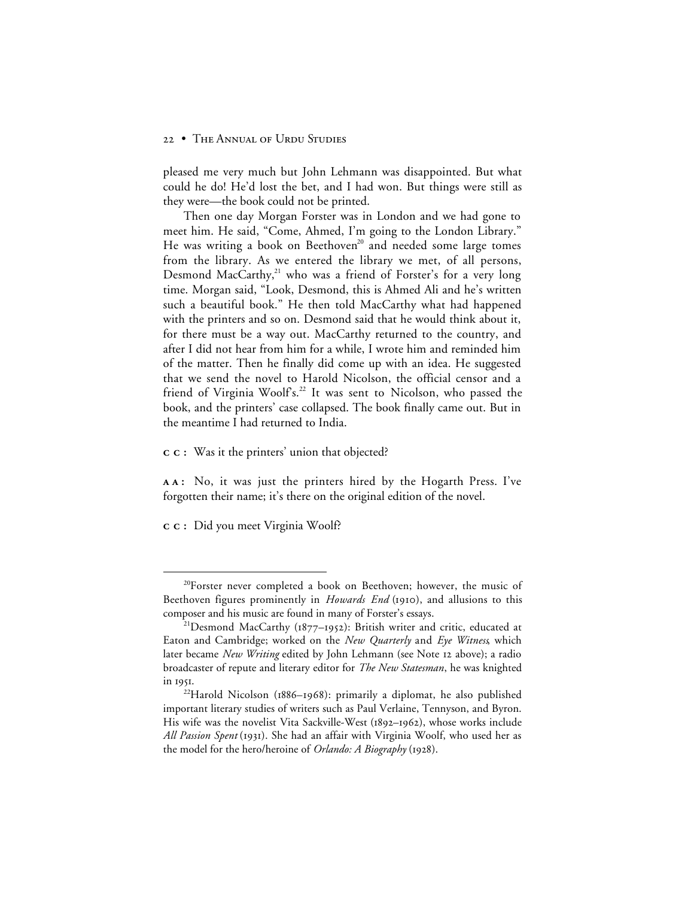pleased me very much but John Lehmann was disappointed. But what could he do! He'd lost the bet, and I had won. But things were still as they were—the book could not be printed.

Then one day Morgan Forster was in London and we had gone to meet him. He said, "Come, Ahmed, I'm going to the London Library." He was writing a book on Beethoven<sup>20</sup> and needed some large tomes from the library. As we entered the library we met, of all persons, Desmond MacCarthy,<sup>21</sup> who was a friend of Forster's for a very long time. Morgan said, "Look, Desmond, this is Ahmed Ali and he's written such a beautiful book." He then told MacCarthy what had happened with the printers and so on. Desmond said that he would think about it, for there must be a way out. MacCarthy returned to the country, and after I did not hear from him for a while, I wrote him and reminded him of the matter. Then he finally did come up with an idea. He suggested that we send the novel to Harold Nicolson, the official censor and a friend of Virginia Woolfs.<sup>22</sup> It was sent to Nicolson, who passed the book, and the printers' case collapsed. The book finally came out. But in the meantime I had returned to India.

**:** Was it the printers' union that objected?

**:** No, it was just the printers hired by the Hogarth Press. I've forgotten their name; it's there on the original edition of the novel.

**:** Did you meet Virginia Woolf?

<sup>&</sup>lt;sup>20</sup>Forster never completed a book on Beethoven; however, the music of Beethoven figures prominently in *Howards End* (1910), and allusions to this composer and his music are found in many of Forster's essays.

<sup>&</sup>lt;sup>21</sup>Desmond MacCarthy ( $1877-1952$ ): British writer and critic, educated at Eaton and Cambridge; worked on the *New Quarterly* and *Eye Witness*, which later became *New Writing* edited by John Lehmann (see Note 12 above); a radio broadcaster of repute and literary editor for *The New Statesman*, he was knighted in 1951.

<sup>&</sup>lt;sup>22</sup>Harold Nicolson ( $1886-1968$ ): primarily a diplomat, he also published important literary studies of writers such as Paul Verlaine, Tennyson, and Byron. His wife was the novelist Vita Sackville-West (1892-1962), whose works include All Passion Spent (1931). She had an affair with Virginia Woolf, who used her as the model for the hero/heroine of *Orlando: A Biography* (1928).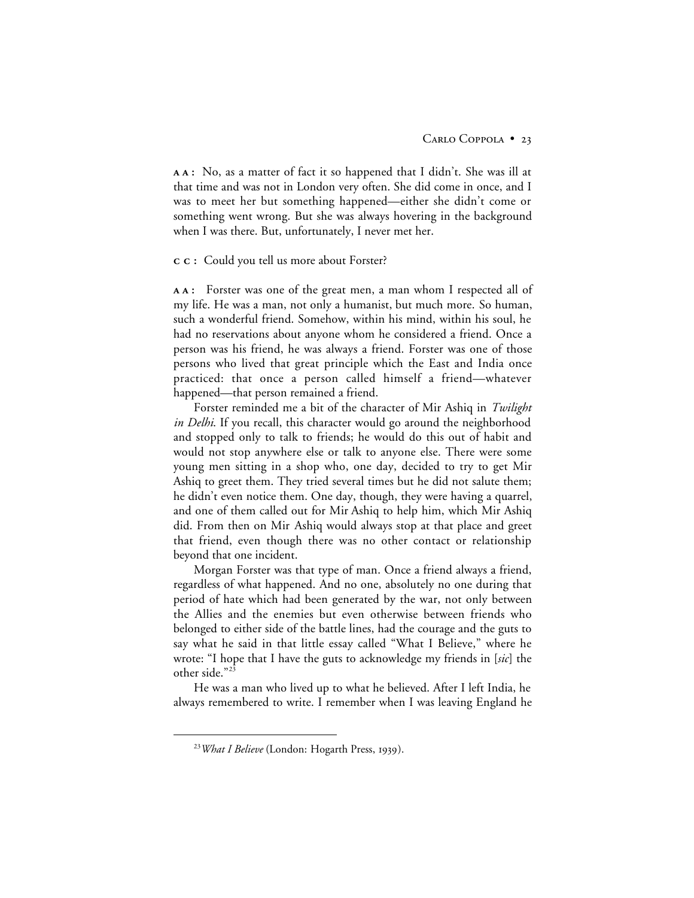**:** No, as a matter of fact it so happened that I didn't. She was ill at that time and was not in London very often. She did come in once, and I was to meet her but something happened—either she didn't come or something went wrong. But she was always hovering in the background when I was there. But, unfortunately, I never met her.

#### **:** Could you tell us more about Forster?

**:** Forster was one of the great men, a man whom I respected all of my life. He was a man, not only a humanist, but much more. So human, such a wonderful friend. Somehow, within his mind, within his soul, he had no reservations about anyone whom he considered a friend. Once a person was his friend, he was always a friend. Forster was one of those persons who lived that great principle which the East and India once practiced: that once a person called himself a friend—whatever happened—that person remained a friend.

Forster reminded me a bit of the character of Mir Ashiq in *Twilight in Delhi*. If you recall, this character would go around the neighborhood and stopped only to talk to friends; he would do this out of habit and would not stop anywhere else or talk to anyone else. There were some young men sitting in a shop who, one day, decided to try to get Mir Ashiq to greet them. They tried several times but he did not salute them; he didn't even notice them. One day, though, they were having a quarrel, and one of them called out for Mir Ashiq to help him, which Mir Ashiq did. From then on Mir Ashiq would always stop at that place and greet that friend, even though there was no other contact or relationship beyond that one incident.

Morgan Forster was that type of man. Once a friend always a friend, regardless of what happened. And no one, absolutely no one during that period of hate which had been generated by the war, not only between the Allies and the enemies but even otherwise between friends who belonged to either side of the battle lines, had the courage and the guts to say what he said in that little essay called "What I Believe," where he wrote: "I hope that I have the guts to acknowledge my friends in [*sic*] the other side."<sup>23</sup>

He was a man who lived up to what he believed. After I left India, he always remembered to write. I remember when I was leaving England he

<sup>&</sup>lt;sup>23</sup> What I Believe (London: Hogarth Press, 1939).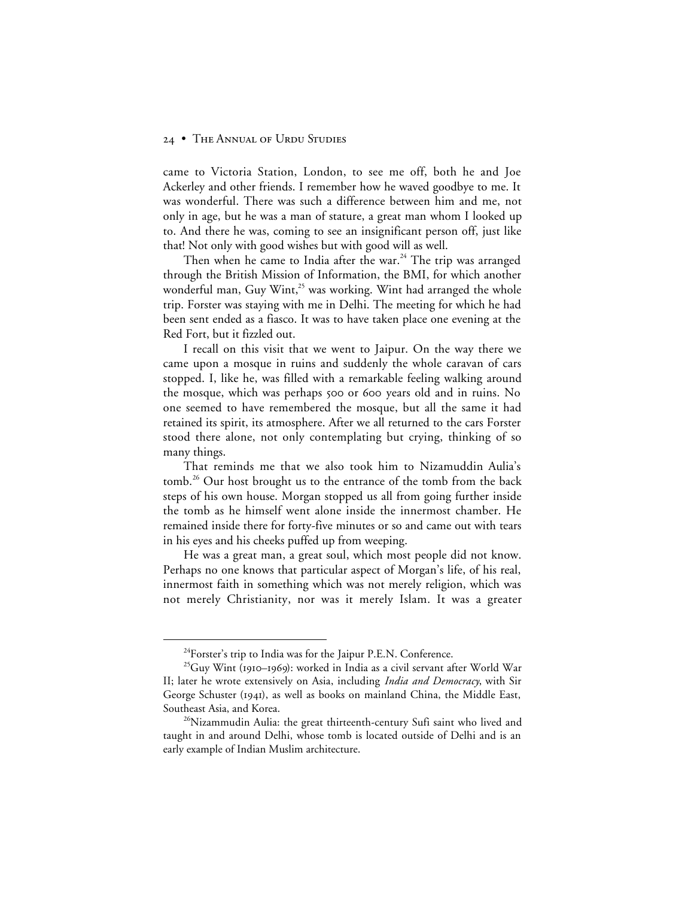came to Victoria Station, London, to see me off, both he and Joe Ackerley and other friends. I remember how he waved goodbye to me. It was wonderful. There was such a difference between him and me, not only in age, but he was a man of stature, a great man whom I looked up to. And there he was, coming to see an insignificant person off, just like that! Not only with good wishes but with good will as well.

Then when he came to India after the war.<sup>24</sup> The trip was arranged through the British Mission of Information, the BMI, for which another wonderful man, Guy Wint, $^{25}$  was working. Wint had arranged the whole trip. Forster was staying with me in Delhi. The meeting for which he had been sent ended as a fiasco. It was to have taken place one evening at the Red Fort, but it fizzled out.

I recall on this visit that we went to Jaipur. On the way there we came upon a mosque in ruins and suddenly the whole caravan of cars stopped. I, like he, was filled with a remarkable feeling walking around the mosque, which was perhaps 500 or 600 years old and in ruins. No one seemed to have remembered the mosque, but all the same it had retained its spirit, its atmosphere. After we all returned to the cars Forster stood there alone, not only contemplating but crying, thinking of so many things.

That reminds me that we also took him to Nizamuddin Aulia's tomb.<sup>26</sup> Our host brought us to the entrance of the tomb from the back steps of his own house. Morgan stopped us all from going further inside the tomb as he himself went alone inside the innermost chamber. He remained inside there for forty-five minutes or so and came out with tears in his eyes and his cheeks puffed up from weeping.

He was a great man, a great soul, which most people did not know. Perhaps no one knows that particular aspect of Morgan's life, of his real, innermost faith in something which was not merely religion, which was not merely Christianity, nor was it merely Islam. It was a greater

<sup>&</sup>lt;sup>24</sup>Forster's trip to India was for the Jaipur P.E.N. Conference.

 $^{25}$ Guy Wint (1910–1969): worked in India as a civil servant after World War II; later he wrote extensively on Asia, including *India and Democracy*, with Sir George Schuster (1941), as well as books on mainland China, the Middle East, Southeast Asia, and Korea.

<sup>&</sup>lt;sup>26</sup>Nizammudin Aulia: the great thirteenth-century Sufi saint who lived and taught in and around Delhi, whose tomb is located outside of Delhi and is an early example of Indian Muslim architecture.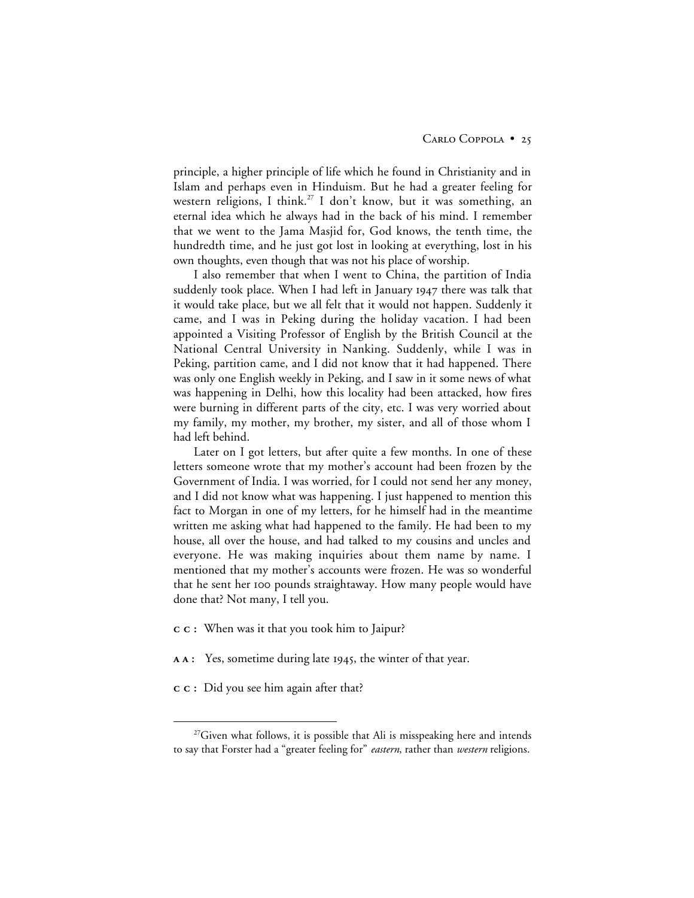principle, a higher principle of life which he found in Christianity and in Islam and perhaps even in Hinduism. But he had a greater feeling for western religions, I think.<sup>27</sup> I don't know, but it was something, an eternal idea which he always had in the back of his mind. I remember that we went to the Jama Masjid for, God knows, the tenth time, the hundredth time, and he just got lost in looking at everything, lost in his own thoughts, even though that was not his place of worship.

I also remember that when I went to China, the partition of India suddenly took place. When I had left in January there was talk that it would take place, but we all felt that it would not happen. Suddenly it came, and I was in Peking during the holiday vacation. I had been appointed a Visiting Professor of English by the British Council at the National Central University in Nanking. Suddenly, while I was in Peking, partition came, and I did not know that it had happened. There was only one English weekly in Peking, and I saw in it some news of what was happening in Delhi, how this locality had been attacked, how fires were burning in different parts of the city, etc. I was very worried about my family, my mother, my brother, my sister, and all of those whom I had left behind.

Later on I got letters, but after quite a few months. In one of these letters someone wrote that my mother's account had been frozen by the Government of India. I was worried, for I could not send her any money, and I did not know what was happening. I just happened to mention this fact to Morgan in one of my letters, for he himself had in the meantime written me asking what had happened to the family. He had been to my house, all over the house, and had talked to my cousins and uncles and everyone. He was making inquiries about them name by name. I mentioned that my mother's accounts were frozen. He was so wonderful that he sent her 100 pounds straightaway. How many people would have done that? Not many, I tell you.

- **:** When was it that you took him to Jaipur?
- **AA**: Yes, sometime during late 1945, the winter of that year.
- **:** Did you see him again after that?

 $^{27}$ Given what follows, it is possible that Ali is misspeaking here and intends to say that Forster had a "greater feeling for" *eastern*, rather than *western* religions.